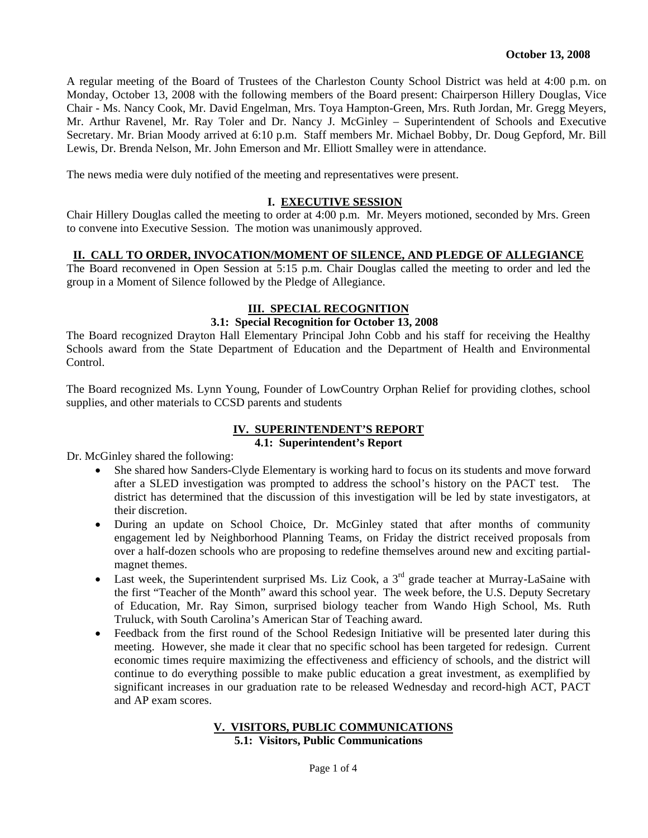A regular meeting of the Board of Trustees of the Charleston County School District was held at 4:00 p.m. on Monday, October 13, 2008 with the following members of the Board present: Chairperson Hillery Douglas, Vice Chair - Ms. Nancy Cook, Mr. David Engelman, Mrs. Toya Hampton-Green, Mrs. Ruth Jordan, Mr. Gregg Meyers, Mr. Arthur Ravenel, Mr. Ray Toler and Dr. Nancy J. McGinley – Superintendent of Schools and Executive Secretary. Mr. Brian Moody arrived at 6:10 p.m. Staff members Mr. Michael Bobby, Dr. Doug Gepford, Mr. Bill Lewis, Dr. Brenda Nelson, Mr. John Emerson and Mr. Elliott Smalley were in attendance.

The news media were duly notified of the meeting and representatives were present.

### **I. EXECUTIVE SESSION**

Chair Hillery Douglas called the meeting to order at 4:00 p.m. Mr. Meyers motioned, seconded by Mrs. Green to convene into Executive Session. The motion was unanimously approved.

#### **II. CALL TO ORDER, INVOCATION/MOMENT OF SILENCE, AND PLEDGE OF ALLEGIANCE**

The Board reconvened in Open Session at 5:15 p.m. Chair Douglas called the meeting to order and led the group in a Moment of Silence followed by the Pledge of Allegiance.

# **III. SPECIAL RECOGNITION**

### **3.1: Special Recognition for October 13, 2008**

The Board recognized Drayton Hall Elementary Principal John Cobb and his staff for receiving the Healthy Schools award from the State Department of Education and the Department of Health and Environmental Control.

The Board recognized Ms. Lynn Young, Founder of LowCountry Orphan Relief for providing clothes, school supplies, and other materials to CCSD parents and students

#### **IV. SUPERINTENDENT'S REPORT 4.1: Superintendent's Report**

Dr. McGinley shared the following:

- She shared how Sanders-Clyde Elementary is working hard to focus on its students and move forward after a SLED investigation was prompted to address the school's history on the PACT test. The district has determined that the discussion of this investigation will be led by state investigators, at their discretion.
- During an update on School Choice, Dr. McGinley stated that after months of community engagement led by Neighborhood Planning Teams, on Friday the district received proposals from over a half-dozen schools who are proposing to redefine themselves around new and exciting partialmagnet themes.
- Last week, the Superintendent surprised Ms. Liz Cook, a  $3<sup>rd</sup>$  grade teacher at Murray-LaSaine with the first "Teacher of the Month" award this school year. The week before, the U.S. Deputy Secretary of Education, Mr. Ray Simon, surprised biology teacher from Wando High School, Ms. Ruth Truluck, with South Carolina's American Star of Teaching award.
- Feedback from the first round of the School Redesign Initiative will be presented later during this meeting. However, she made it clear that no specific school has been targeted for redesign.Current economic times require maximizing the effectiveness and efficiency of schools, and the district will continue to do everything possible to make public education a great investment, as exemplified by significant increases in our graduation rate to be released Wednesday and record-high ACT, PACT and AP exam scores.

#### **V. VISITORS, PUBLIC COMMUNICATIONS 5.1: Visitors, Public Communications**

Page 1 of 4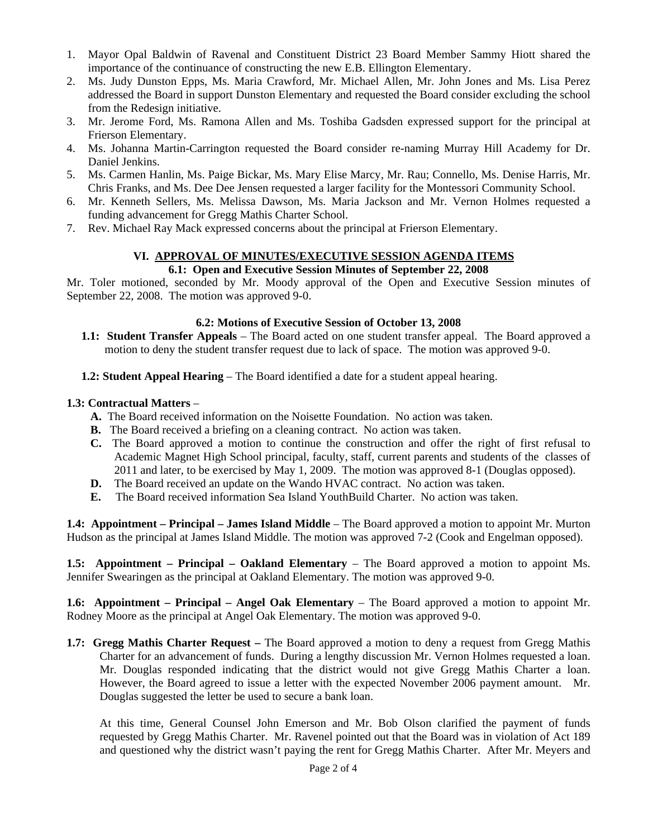- 1. Mayor Opal Baldwin of Ravenal and Constituent District 23 Board Member Sammy Hiott shared the importance of the continuance of constructing the new E.B. Ellington Elementary.
- 2. Ms. Judy Dunston Epps, Ms. Maria Crawford, Mr. Michael Allen, Mr. John Jones and Ms. Lisa Perez addressed the Board in support Dunston Elementary and requested the Board consider excluding the school from the Redesign initiative.
- 3. Mr. Jerome Ford, Ms. Ramona Allen and Ms. Toshiba Gadsden expressed support for the principal at Frierson Elementary.
- 4. Ms. Johanna Martin-Carrington requested the Board consider re-naming Murray Hill Academy for Dr. Daniel Jenkins.
- 5. Ms. Carmen Hanlin, Ms. Paige Bickar, Ms. Mary Elise Marcy, Mr. Rau; Connello, Ms. Denise Harris, Mr. Chris Franks, and Ms. Dee Dee Jensen requested a larger facility for the Montessori Community School.
- 6. Mr. Kenneth Sellers, Ms. Melissa Dawson, Ms. Maria Jackson and Mr. Vernon Holmes requested a funding advancement for Gregg Mathis Charter School.
- 7. Rev. Michael Ray Mack expressed concerns about the principal at Frierson Elementary.

#### **VI. APPROVAL OF MINUTES/EXECUTIVE SESSION AGENDA ITEMS 6.1: Open and Executive Session Minutes of September 22, 2008**

Mr. Toler motioned, seconded by Mr. Moody approval of the Open and Executive Session minutes of September 22, 2008. The motion was approved 9-0.

## **6.2: Motions of Executive Session of October 13, 2008**

- **1.1: Student Transfer Appeals** The Board acted on one student transfer appeal. The Board approved a motion to deny the student transfer request due to lack of space. The motion was approved 9-0.
- **1.2: Student Appeal Hearing**  The Board identified a date for a student appeal hearing.

## **1.3: Contractual Matters** –

- **A.** The Board received information on the Noisette Foundation. No action was taken.
- **B.** The Board received a briefing on a cleaning contract. No action was taken.
- **C.** The Board approved a motion to continue the construction and offer the right of first refusal to Academic Magnet High School principal, faculty, staff, current parents and students of the classes of 2011 and later, to be exercised by May 1, 2009. The motion was approved 8-1 (Douglas opposed).
- **D.** The Board received an update on the Wando HVAC contract. No action was taken.
- **E.** The Board received information Sea Island YouthBuild Charter. No action was taken.

**1.4: Appointment – Principal – James Island Middle** – The Board approved a motion to appoint Mr. Murton Hudson as the principal at James Island Middle. The motion was approved 7-2 (Cook and Engelman opposed).

**1.5: Appointment – Principal – Oakland Elementary – The Board approved a motion to appoint Ms.** Jennifer Swearingen as the principal at Oakland Elementary. The motion was approved 9-0.

**1.6: Appointment – Principal – Angel Oak Elementary** – The Board approved a motion to appoint Mr. Rodney Moore as the principal at Angel Oak Elementary. The motion was approved 9-0.

**1.7: Gregg Mathis Charter Request –** The Board approved a motion to deny a request from Gregg Mathis Charter for an advancement of funds. During a lengthy discussion Mr. Vernon Holmes requested a loan. Mr. Douglas responded indicating that the district would not give Gregg Mathis Charter a loan. However, the Board agreed to issue a letter with the expected November 2006 payment amount. Mr. Douglas suggested the letter be used to secure a bank loan.

 At this time, General Counsel John Emerson and Mr. Bob Olson clarified the payment of funds requested by Gregg Mathis Charter. Mr. Ravenel pointed out that the Board was in violation of Act 189 and questioned why the district wasn't paying the rent for Gregg Mathis Charter. After Mr. Meyers and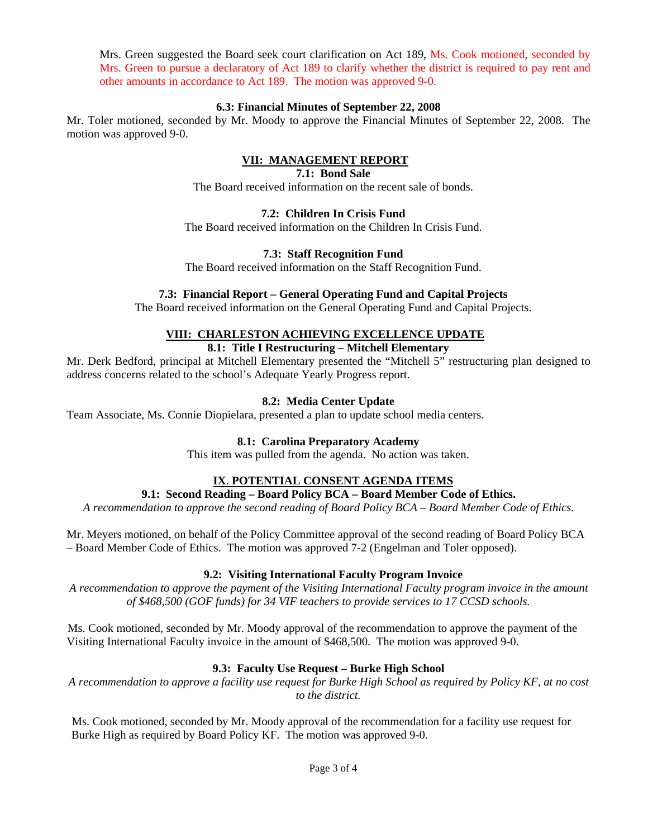Mrs. Green suggested the Board seek court clarification on Act 189, Ms. Cook motioned, seconded by Mrs. Green to pursue a declaratory of Act 189 to clarify whether the district is required to pay rent and other amounts in accordance to Act 189. The motion was approved 9-0.

### **6.3: Financial Minutes of September 22, 2008**

Mr. Toler motioned, seconded by Mr. Moody to approve the Financial Minutes of September 22, 2008. The motion was approved 9-0.

# **VII: MANAGEMENT REPORT**

### **7.1: Bond Sale**

The Board received information on the recent sale of bonds.

## **7.2: Children In Crisis Fund**

The Board received information on the Children In Crisis Fund.

## **7.3: Staff Recognition Fund**

The Board received information on the Staff Recognition Fund.

## **7.3: Financial Report – General Operating Fund and Capital Projects**

The Board received information on the General Operating Fund and Capital Projects.

# **VIII: CHARLESTON ACHIEVING EXCELLENCE UPDATE**

# **8.1: Title I Restructuring – Mitchell Elementary**

Mr. Derk Bedford, principal at Mitchell Elementary presented the "Mitchell 5" restructuring plan designed to address concerns related to the school's Adequate Yearly Progress report.

## **8.2: Media Center Update**

Team Associate, Ms. Connie Diopielara, presented a plan to update school media centers.

# **8.1: Carolina Preparatory Academy**

This item was pulled from the agenda. No action was taken.

# **IX**. **POTENTIAL CONSENT AGENDA ITEMS**

### **9.1: Second Reading – Board Policy BCA – Board Member Code of Ethics.**

*A recommendation to approve the second reading of Board Policy BCA – Board Member Code of Ethics.* 

Mr. Meyers motioned, on behalf of the Policy Committee approval of the second reading of Board Policy BCA – Board Member Code of Ethics. The motion was approved 7-2 (Engelman and Toler opposed).

### **9.2: Visiting International Faculty Program Invoice**

*A recommendation to approve the payment of the Visiting International Faculty program invoice in the amount of \$468,500 (GOF funds) for 34 VIF teachers to provide services to 17 CCSD schools.* 

Ms. Cook motioned, seconded by Mr. Moody approval of the recommendation to approve the payment of the Visiting International Faculty invoice in the amount of \$468,500. The motion was approved 9-0.

# **9.3: Faculty Use Request – Burke High School**

*A recommendation to approve a facility use request for Burke High School as required by Policy KF, at no cost to the district.* 

Ms. Cook motioned, seconded by Mr. Moody approval of the recommendation for a facility use request for Burke High as required by Board Policy KF. The motion was approved 9-0.